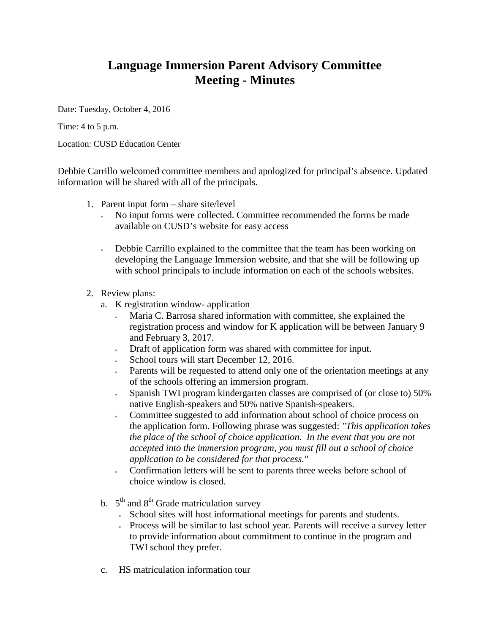## **Language Immersion Parent Advisory Committee Meeting - Minutes**

Date: Tuesday, October 4, 2016

Time: 4 to 5 p.m.

Location: CUSD Education Center

Debbie Carrillo welcomed committee members and apologized for principal's absence. Updated information will be shared with all of the principals.

- 1. Parent input form share site/level
	- No input forms were collected. Committee recommended the forms be made available on CUSD's website for easy access
	- Debbie Carrillo explained to the committee that the team has been working on developing the Language Immersion website, and that she will be following up with school principals to include information on each of the schools websites.
- 2. Review plans:
	- a. K registration window- application
		- Maria C. Barrosa shared information with committee, she explained the registration process and window for K application will be between January 9 and February 3, 2017.
		- Draft of application form was shared with committee for input.
		- School tours will start December 12, 2016.
		- Parents will be requested to attend only one of the orientation meetings at any of the schools offering an immersion program.
		- Spanish TWI program kindergarten classes are comprised of (or close to) 50% native English-speakers and 50% native Spanish-speakers.
		- Committee suggested to add information about school of choice process on the application form. Following phrase was suggested: *"This application takes the place of the school of choice application. In the event that you are not accepted into the immersion program, you must fill out a school of choice application to be considered for that process."*
		- Confirmation letters will be sent to parents three weeks before school of choice window is closed.
	- b.  $5<sup>th</sup>$  and  $8<sup>th</sup>$  Grade matriculation survey
		- School sites will host informational meetings for parents and students.
		- Process will be similar to last school year. Parents will receive a survey letter to provide information about commitment to continue in the program and TWI school they prefer.
	- c. HS matriculation information tour